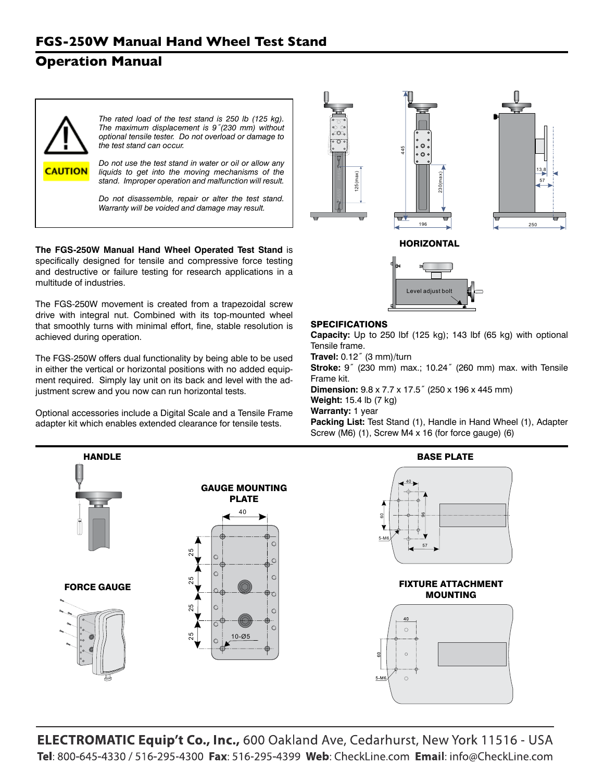# **Operation Manual**



**The FGS-250W Manual Hand Wheel Operated Test Stand** is specifically designed for tensile and compressive force testing and destructive or failure testing for research applications in a multitude of industries.

The FGS-250W movement is created from a trapezoidal screw drive with integral nut. Combined with its top-mounted wheel that smoothly turns with minimal effort, fine, stable resolution is achieved during operation.

The FGS-250W offers dual functionality by being able to be used in either the vertical or horizontal positions with no added equipment required. Simply lay unit on its back and level with the adjustment screw and you now can run horizontal tests.

Optional accessories include a Digital Scale and a Tensile Frame adapter kit which enables extended clearance for tensile tests.





### SPECIFICATIONS

**Capacity:** Up to 250 lbf (125 kg); 143 lbf (65 kg) with optional Tensile frame.

**Travel:** 0.12˝ (3 mm)/turn

**Stroke:** 9˝ (230 mm) max.; 10.24˝ (260 mm) max. with Tensile Frame kit.

**Dimension:** 9.8 x 7.7 x 17.5˝ (250 x 196 x 445 mm) **Weight:** 15.4 lb (7 kg)

**Warranty:** 1 year

**Packing List:** Test Stand (1), Handle in Hand Wheel (1), Adapter Screw (M6) (1), Screw M4 x 16 (for force gauge) (6)



**ELECTROMATIC Equip't Co., Inc., 600 Oakland Ave, Cedarhurst, New York 11516 - USA** Tel: 800-645-4330 / 516-295-4300 Fax: 516-295-4399 Web: CheckLine.com Email: info@CheckLine.com